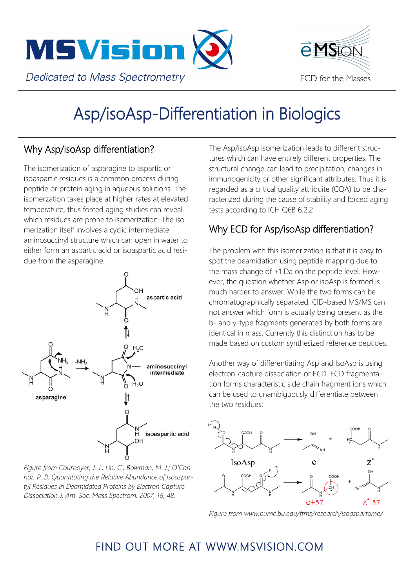



# Asp/isoAsp-Differentiation in Biologics

#### Why Asp/isoAsp differentiation?

The isomerization of asparagine to aspartic or isoaspartic residues is a common process during peptide or protein aging in aqueous solutions. The isomerzation takes place at higher rates at elevated temperature, thus forced aging studies can reveal which residues are prone to isomerization. The isomerization itself involves a cyclic intermediate aminosuccinyl structure which can open in water to either form an aspartic acid or isoaspartic acid residue from the asparagine.



*Figure from Cournoyer, J. J.; Lin, C.; Bowman, M. J.; O'Connor, P. B. Quantitating the Relative Abundance of Isoaspartyl Residues in Deamidated Proteins by Electron Capture Dissociation J. Am. Soc. Mass Spectrom. 2007, 18, 48.*

The Asp/isoAsp isomerization leads to different structures which can have entirely different properties. The structural change can lead to precipitation, changes in immunogenicity or other significant attributes. Thus it is regarded as a critical quality attribuite (CQA) to be characterized during the cause of stability and forced aging tests according to ICH Q6B 6.2.2

### Why ECD for Asp/isoAsp differentiation?

The problem with this isomerization is that it is easy to spot the deamidation using peptide mapping due to the mass change of +1 Da on the peptide level. However, the question whether Asp or isoAsp is formed is much harder to answer. While the two forms can be chromatographically separated, CID-based MS/MS can not answer which form is actually being present as the b- and y-type fragments generated by both forms are identical in mass. Currently this distinction has to be made based on custom synthesized reference peptides.

Another way of differentiating Asp and IsoAsp is using electron-capture dissociation or ECD. ECD fragmentation forms characteristic side chain fragment ions which can be used to unambiguously differentiate between the two residues:



*Figure from www.bumc.bu.edu/ftms/research/isoaspartome/*

## FIND OUT MORE AT WWW.MSVISION.COM